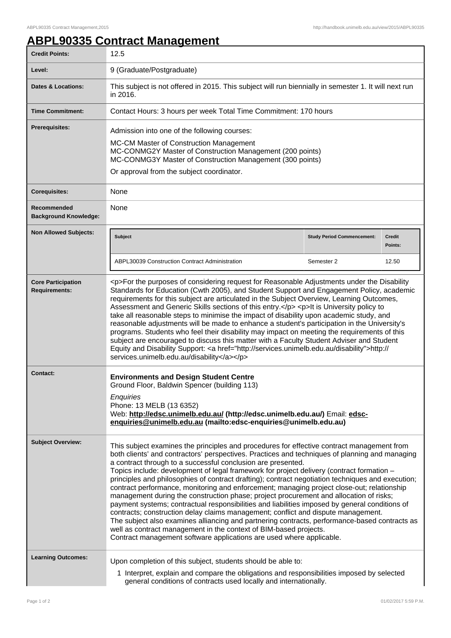ı

## **ABPL90335 Contract Management**

| <b>Credit Points:</b>                             | 12.5                                                                                                                                                                                                                                                                                                                                                                                                                                                                                                                                                                                                                                                                                                                                                                                                                                                                                                                                                                                                                                                                                        |                                   |                          |
|---------------------------------------------------|---------------------------------------------------------------------------------------------------------------------------------------------------------------------------------------------------------------------------------------------------------------------------------------------------------------------------------------------------------------------------------------------------------------------------------------------------------------------------------------------------------------------------------------------------------------------------------------------------------------------------------------------------------------------------------------------------------------------------------------------------------------------------------------------------------------------------------------------------------------------------------------------------------------------------------------------------------------------------------------------------------------------------------------------------------------------------------------------|-----------------------------------|--------------------------|
| Level:                                            | 9 (Graduate/Postgraduate)                                                                                                                                                                                                                                                                                                                                                                                                                                                                                                                                                                                                                                                                                                                                                                                                                                                                                                                                                                                                                                                                   |                                   |                          |
| <b>Dates &amp; Locations:</b>                     | This subject is not offered in 2015. This subject will run biennially in semester 1. It will next run<br>in 2016.                                                                                                                                                                                                                                                                                                                                                                                                                                                                                                                                                                                                                                                                                                                                                                                                                                                                                                                                                                           |                                   |                          |
| <b>Time Commitment:</b>                           | Contact Hours: 3 hours per week Total Time Commitment: 170 hours                                                                                                                                                                                                                                                                                                                                                                                                                                                                                                                                                                                                                                                                                                                                                                                                                                                                                                                                                                                                                            |                                   |                          |
| Prerequisites:                                    | Admission into one of the following courses:<br>MC-CM Master of Construction Management<br>MC-CONMG2Y Master of Construction Management (200 points)<br>MC-CONMG3Y Master of Construction Management (300 points)<br>Or approval from the subject coordinator.                                                                                                                                                                                                                                                                                                                                                                                                                                                                                                                                                                                                                                                                                                                                                                                                                              |                                   |                          |
| <b>Corequisites:</b>                              | None                                                                                                                                                                                                                                                                                                                                                                                                                                                                                                                                                                                                                                                                                                                                                                                                                                                                                                                                                                                                                                                                                        |                                   |                          |
| Recommended<br><b>Background Knowledge:</b>       | None                                                                                                                                                                                                                                                                                                                                                                                                                                                                                                                                                                                                                                                                                                                                                                                                                                                                                                                                                                                                                                                                                        |                                   |                          |
| <b>Non Allowed Subjects:</b>                      | <b>Subject</b>                                                                                                                                                                                                                                                                                                                                                                                                                                                                                                                                                                                                                                                                                                                                                                                                                                                                                                                                                                                                                                                                              | <b>Study Period Commencement:</b> | <b>Credit</b><br>Points: |
|                                                   | <b>ABPL30039 Construction Contract Administration</b>                                                                                                                                                                                                                                                                                                                                                                                                                                                                                                                                                                                                                                                                                                                                                                                                                                                                                                                                                                                                                                       | Semester 2                        | 12.50                    |
| <b>Core Participation</b><br><b>Requirements:</b> | <p>For the purposes of considering request for Reasonable Adjustments under the Disability<br/>Standards for Education (Cwth 2005), and Student Support and Engagement Policy, academic<br/>requirements for this subject are articulated in the Subject Overview, Learning Outcomes,<br/>Assessment and Generic Skills sections of this entry.</p> <p>lt is University policy to<br/>take all reasonable steps to minimise the impact of disability upon academic study, and<br/>reasonable adjustments will be made to enhance a student's participation in the University's<br/>programs. Students who feel their disability may impact on meeting the requirements of this<br/>subject are encouraged to discuss this matter with a Faculty Student Adviser and Student<br/>Equity and Disability Support: &lt; a href="http://services.unimelb.edu.au/disability"&gt;http://<br/>services.unimelb.edu.au/disability</p>                                                                                                                                                                |                                   |                          |
| <b>Contact:</b>                                   | <b>Environments and Design Student Centre</b><br>Ground Floor, Baldwin Spencer (building 113)<br>Enquiries<br>Phone: 13 MELB (13 6352)<br>Web: http://edsc.unimelb.edu.au/ (http://edsc.unimelb.edu.au/) Email: edsc-<br>enquiries@unimelb.edu.au (mailto:edsc-enquiries@unimelb.edu.au)                                                                                                                                                                                                                                                                                                                                                                                                                                                                                                                                                                                                                                                                                                                                                                                                    |                                   |                          |
| <b>Subject Overview:</b>                          | This subject examines the principles and procedures for effective contract management from<br>both clients' and contractors' perspectives. Practices and techniques of planning and managing<br>a contract through to a successful conclusion are presented.<br>Topics include: development of legal framework for project delivery (contract formation -<br>principles and philosophies of contract drafting); contract negotiation techniques and execution;<br>contract performance, monitoring and enforcement; managing project close-out; relationship<br>management during the construction phase; project procurement and allocation of risks;<br>payment systems; contractual responsibilities and liabilities imposed by general conditions of<br>contracts; construction delay claims management; conflict and dispute management.<br>The subject also examines alliancing and partnering contracts, performance-based contracts as<br>well as contract management in the context of BIM-based projects.<br>Contract management software applications are used where applicable. |                                   |                          |
| <b>Learning Outcomes:</b>                         | Upon completion of this subject, students should be able to:<br>1 Interpret, explain and compare the obligations and responsibilities imposed by selected<br>general conditions of contracts used locally and internationally.                                                                                                                                                                                                                                                                                                                                                                                                                                                                                                                                                                                                                                                                                                                                                                                                                                                              |                                   |                          |